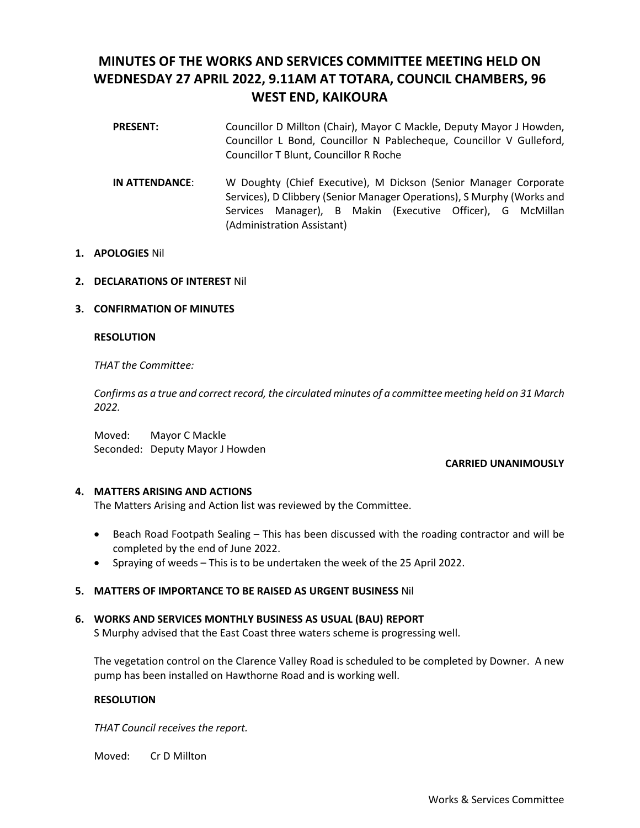# **MINUTES OF THE WORKS AND SERVICES COMMITTEE MEETING HELD ON WEDNESDAY 27 APRIL 2022, 9.11AM AT TOTARA, COUNCIL CHAMBERS, 96 WEST END, KAIKOURA**

- **PRESENT:** Councillor D Millton (Chair), Mayor C Mackle, Deputy Mayor J Howden, Councillor L Bond, Councillor N Pablecheque, Councillor V Gulleford, Councillor T Blunt, Councillor R Roche
- **IN ATTENDANCE**: W Doughty (Chief Executive), M Dickson (Senior Manager Corporate Services), D Clibbery (Senior Manager Operations), S Murphy (Works and Services Manager), B Makin (Executive Officer), G McMillan (Administration Assistant)

# **1. APOLOGIES** Nil

## **2. DECLARATIONS OF INTEREST** Nil

## **3. CONFIRMATION OF MINUTES**

## **RESOLUTION**

*THAT the Committee:* 

*Confirms as a true and correct record, the circulated minutes of a committee meeting held on 31 March 2022.*

Moved: Mayor C Mackle Seconded: Deputy Mayor J Howden

#### **CARRIED UNANIMOUSLY**

#### **4. MATTERS ARISING AND ACTIONS**

The Matters Arising and Action list was reviewed by the Committee.

- Beach Road Footpath Sealing This has been discussed with the roading contractor and will be completed by the end of June 2022.
- Spraying of weeds This is to be undertaken the week of the 25 April 2022.

#### **5. MATTERS OF IMPORTANCE TO BE RAISED AS URGENT BUSINESS** Nil

#### **6. WORKS AND SERVICES MONTHLY BUSINESS AS USUAL (BAU) REPORT**

S Murphy advised that the East Coast three waters scheme is progressing well.

The vegetation control on the Clarence Valley Road is scheduled to be completed by Downer. A new pump has been installed on Hawthorne Road and is working well.

#### **RESOLUTION**

*THAT Council receives the report.* 

Moved: Cr D Millton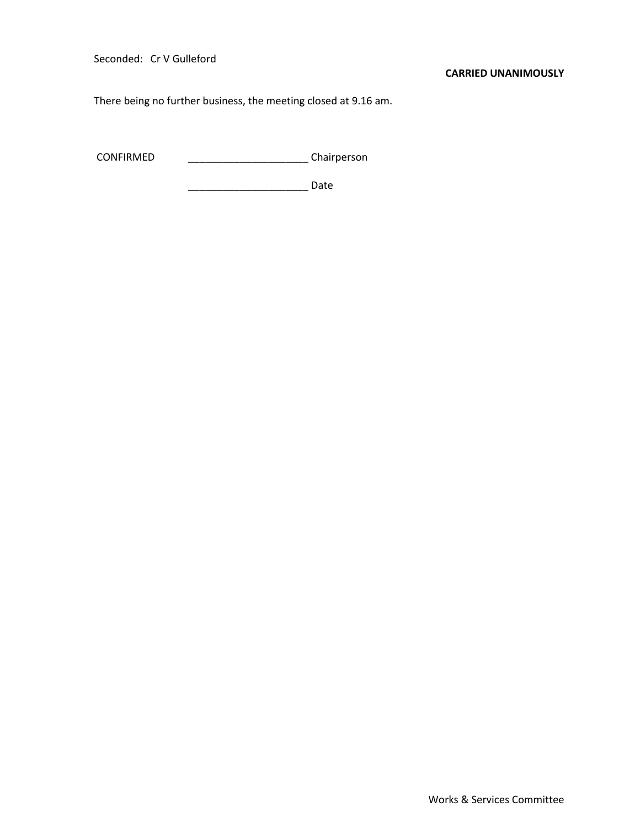Seconded: Cr V Gulleford

#### **CARRIED UNANIMOUSLY**

There being no further business, the meeting closed at 9.16 am.

CONFIRMED \_\_\_\_\_\_\_\_\_\_\_\_\_\_\_\_\_\_\_\_\_ Chairperson

\_\_\_\_\_\_\_\_\_\_\_\_\_\_\_\_\_\_\_\_\_ Date